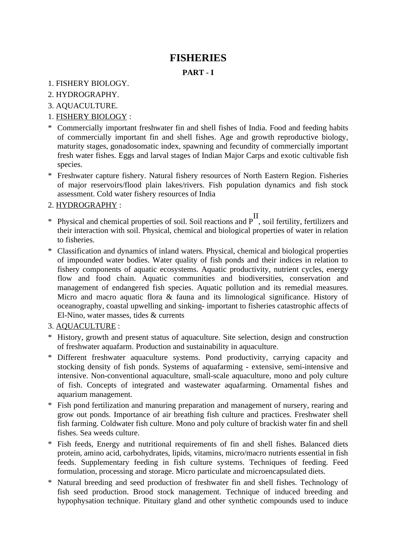# **FISHERIES**

## **PART - I**

- 1. FISHERY BIOLOGY.
- 2. HYDROGRAPHY.
- 3. AQUACULTURE.
- 1. FISHERY BIOLOGY :
- \* Commercially important freshwater fin and shell fishes of India. Food and feeding habits of commercially important fin and shell fishes. Age and growth reproductive biology, maturity stages, gonadosomatic index, spawning and fecundity of commercially important fresh water fishes. Eggs and larval stages of Indian Major Carps and exotic cultivable fish species.
- \* Freshwater capture fishery. Natural fishery resources of North Eastern Region. Fisheries of major reservoirs/flood plain lakes/rivers. Fish population dynamics and fish stock assessment. Cold water fishery resources of India
- 2. HYDROGRAPHY :
- \* Physical and chemical properties of soil. Soil reactions and PII, soil fertility, fertilizers and their interaction with soil. Physical, chemical and biological properties of water in relation to fisheries.
- \* Classification and dynamics of inland waters. Physical, chemical and biological properties of impounded water bodies. Water quality of fish ponds and their indices in relation to fishery components of aquatic ecosystems. Aquatic productivity, nutrient cycles, energy flow and food chain. Aquatic communities and biodiversities, conservation and management of endangered fish species. Aquatic pollution and its remedial measures. Micro and macro aquatic flora & fauna and its limnological significance. History of oceanography, coastal upwelling and sinking- important to fisheries catastrophic affects of El-Nino, water masses, tides & currents

# 3. AQUACULTURE :

- \* History, growth and present status of aquaculture. Site selection, design and construction of freshwater aquafarm. Production and sustainability in aquaculture.
- \* Different freshwater aquaculture systems. Pond productivity, carrying capacity and stocking density of fish ponds. Systems of aquafarming - extensive, semi-intensive and intensive. Non-conventional aquaculture, small-scale aquaculture, mono and poly culture of fish. Concepts of integrated and wastewater aquafarming. Ornamental fishes and aquarium management.
- \* Fish pond fertilization and manuring preparation and management of nursery, rearing and grow out ponds. Importance of air breathing fish culture and practices. Freshwater shell fish farming. Coldwater fish culture. Mono and poly culture of brackish water fin and shell fishes. Sea weeds culture.
- \* Fish feeds, Energy and nutritional requirements of fin and shell fishes. Balanced diets protein, amino acid, carbohydrates, lipids, vitamins, micro/macro nutrients essential in fish feeds. Supplementary feeding in fish culture systems. Techniques of feeding. Feed formulation, processing and storage. Micro particulate and microencapsulated diets.
- \* Natural breeding and seed production of freshwater fin and shell fishes. Technology of fish seed production. Brood stock management. Technique of induced breeding and hypophysation technique. Pituitary gland and other synthetic compounds used to induce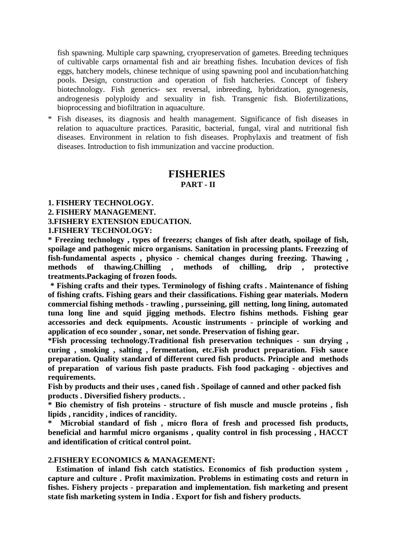fish spawning. Multiple carp spawning, cryopreservation of gametes. Breeding techniques of cultivable carps ornamental fish and air breathing fishes. Incubation devices of fish eggs, hatchery models, chinese technique of using spawning pool and incubation/hatching pools. Design, construction and operation of fish hatcheries. Concept of fishery biotechnology. Fish generics- sex reversal, inbreeding, hybridzation, gynogenesis, androgenesis polyploidy and sexuality in fish. Transgenic fish. Biofertilizations, bioprocessing and biofiltration in aquaculture.

\* Fish diseases, its diagnosis and health management. Significance of fish diseases in relation to aquaculture practices. Parasitic, bacterial, fungal, viral and nutritional fish diseases. Environment in relation to fish diseases. Prophylaxis and treatment of fish diseases. Introduction to fish immunization and vaccine production.

### **FISHERIES PART - II**

#### **1. FISHERY TECHNOLOGY.**

**2. FISHERY MANAGEMENT.**

**3.FISHERY EXTENSION EDUCATION.** 

**1.FISHERY TECHNOLOGY:** 

**\* Freezing technology , types of freezers; changes of fish after death, spoilage of fish, spoilage and pathogenic micro organisms. Sanitation in processing plants. Freezzing of fish-fundamental aspects , physico - chemical changes during freezing. Thawing , methods of thawing.Chilling , methods of chilling, drip , protective treatments.Packaging of frozen foods.** 

 **\* Fishing crafts and their types. Terminology of fishing crafts . Maintenance of fishing of fishing crafts. Fishing gears and their classifications. Fishing gear materials. Modern commercial fishing methods - trawling , pursseining, gill netting, long lining, automated tuna long line and squid jigging methods. Electro fishins methods. Fishing gear accessories and deck equipments. Acoustic instruments - principle of working and application of eco sounder , sonar, net sonde. Preservation of fishing gear.** 

**\*Fish processing technology.Traditional fish preservation techniques - sun drying , curing , smoking , salting , fermentation, etc.Fish product preparation. Fish sauce preparation. Quality standard of different cured fish products. Principle and methods of preparation of various fish paste praducts. Fish food packaging - objectives and requirements.** 

**Fish by products and their uses , caned fish . Spoilage of canned and other packed fish products . Diversified fishery products. .**

**\* Bio chemistry of fish proteins - structure of fish muscle and muscle proteins , fish lipids , rancidity , indices of rancidity.**

**\* Microbial standard of fish , micro flora of fresh and processed fish products, beneficial and harmful micro organisms , quality control in fish processing , HACCT and identification of critical control point.** 

#### **2.FISHERY ECONOMICS & MANAGEMENT:**

 **Estimation of inland fish catch statistics. Economics of fish production system , capture and culture . Profit maximization. Problems in estimating costs and return in fishes. Fishery projects - preparation and implementation. fish marketing and present state fish marketing system in India . Export for fish and fishery products.**